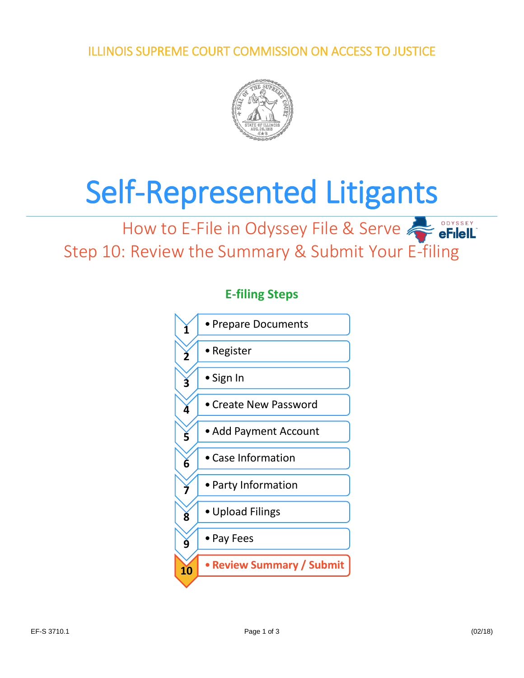ILLINOIS SUPREME COURT COMMISSION ON ACCESS TO JUSTICE



# Self-Represented Litigants

## How to E-File in Odyssey File & Serve **FilelL** Step 10: Review the Summary & Submit Your E-filing



#### **E-filing Steps**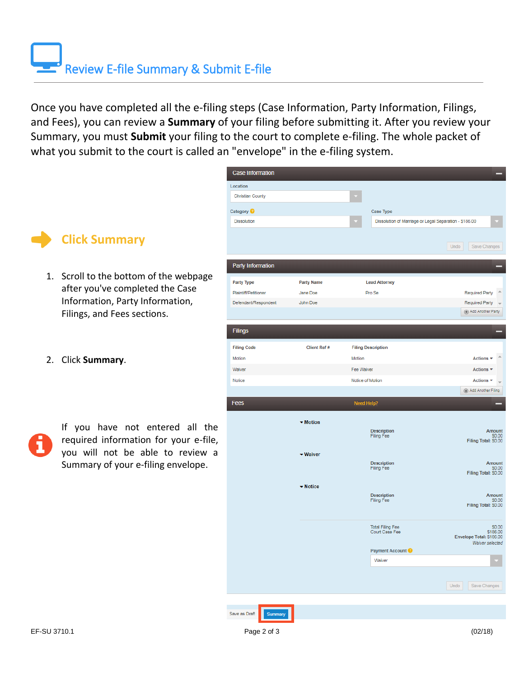Once you have completed all the e-filing steps (Case Information, Party Information, Filings, and Fees), you can review a **Summary** of your filing before submitting it. After you review your Summary, you must **Submit** your filing to the court to complete e-filing. The whole packet of what you submit to the court is called an "envelope" in the e-filing system.



- 1. Scroll to the bottom of the webpage after you've completed the Case Information, Party Information, Filings, and Fees sections.
- 2. Click **Summary**.

If you have not entered all the required information for your e-file, you will not be able to review a Summary of your e-filing envelope.